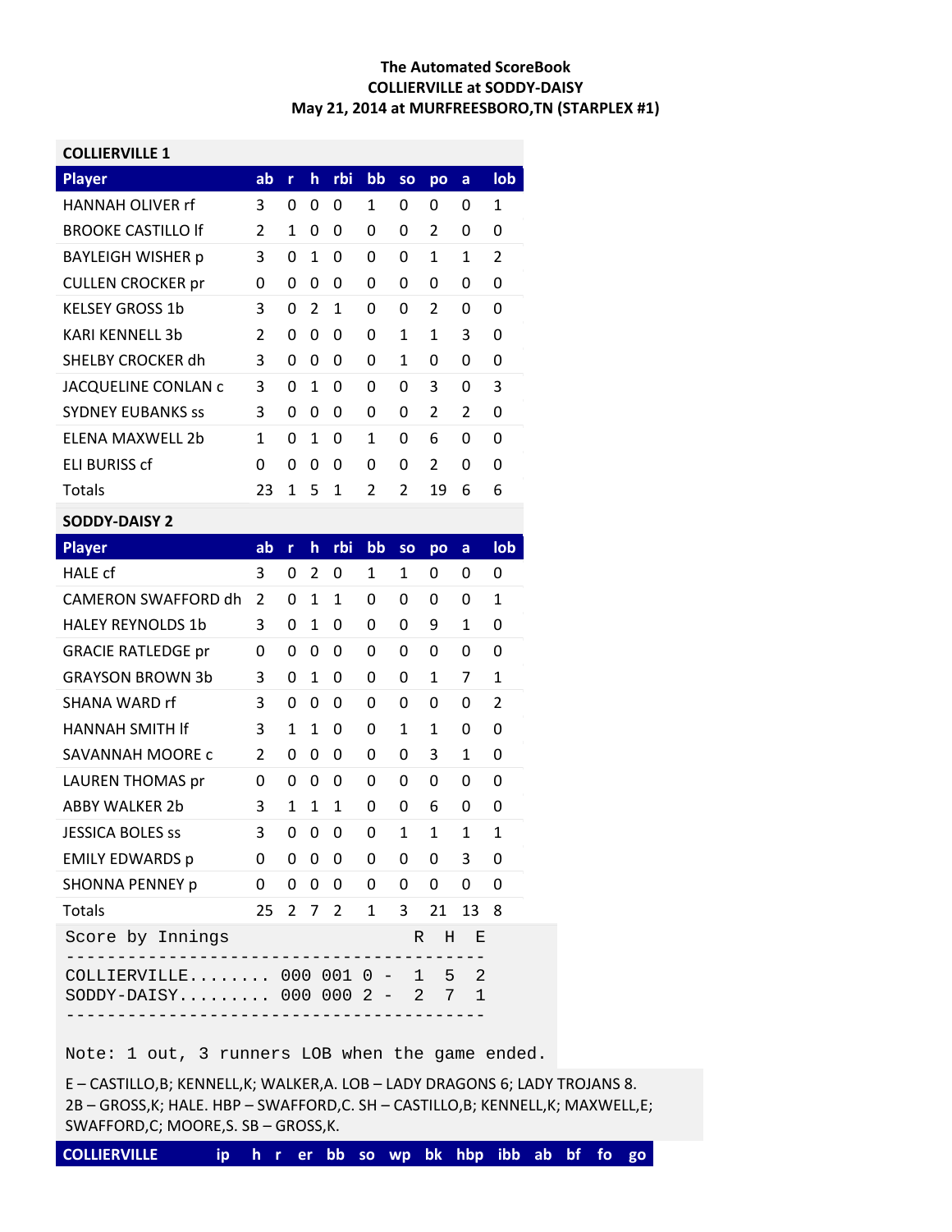## **The Automated ScoreBook COLLIERVILLE at SODDY‐DAISY May 21, 2014 at MURFREESBORO,TN (STARPLEX #1)**

| <b>COLLIERVILLE 1</b>        |                |              |                  |                   |                |              |                     |              |              |
|------------------------------|----------------|--------------|------------------|-------------------|----------------|--------------|---------------------|--------------|--------------|
| <b>Player</b>                | ab             | r            | h                | rbi               | bb             | <b>SO</b>    | po                  | a            | lob          |
| <b>HANNAH OLIVER rf</b>      | 3              | 0            | 0                | 0                 | 1              | 0            | 0                   | 0            | $\mathbf{1}$ |
| <b>BROOKE CASTILLO If</b>    | $\overline{2}$ | $\mathbf{1}$ | 0                | 0                 | 0              | 0            | $\overline{2}$      | 0            | 0            |
| <b>BAYLEIGH WISHER p</b>     | 3              | 0            | $\mathbf{1}$     | 0                 | 0              | 0            | 1                   | 1            | 2            |
| <b>CULLEN CROCKER pr</b>     | 0              | 0            | 0                | 0                 | 0              | 0            | 0                   | 0            | 0            |
| <b>KELSEY GROSS 1b</b>       | 3              | 0            | 2                | $\mathbf{1}$      | 0              | 0            | 2                   | 0            | 0            |
| <b>KARI KENNELL 3b</b>       | $\overline{2}$ | 0            | 0                | 0                 | 0              | 1            | 1                   | 3            | 0            |
| SHELBY CROCKER dh            | 3              | 0            | 0                | 0                 | 0              | $\mathbf{1}$ | 0                   | 0            | 0            |
| JACQUELINE CONLAN c          | 3              | 0            | $\mathbf{1}$     | 0                 | 0              | 0            | 3                   | 0            | 3            |
| <b>SYDNEY EUBANKS SS</b>     | 3              | 0            | 0                | 0                 | 0              | 0            | 2                   | 2            | 0            |
| ELENA MAXWELL 2b             | $\mathbf{1}$   | 0            | $\mathbf{1}$     | 0                 | $\mathbf{1}$   | 0            | 6                   | 0            | 0            |
| <b>ELI BURISS cf</b>         | 0              | 0            | 0                | 0                 | 0              | 0            | 2                   | 0            | 0            |
| <b>Totals</b>                | 23             | 1            | 5                | $\mathbf{1}$      | $\overline{2}$ | 2            | 19                  | 6            | 6            |
| <b>SODDY-DAISY 2</b>         |                |              |                  |                   |                |              |                     |              |              |
| <b>Player</b>                | ab             | r            | h                | rbi               | bb             | <b>SO</b>    | po                  | a            | lob          |
| <b>HALE cf</b>               | 3              | 0            | $\overline{2}$   | 0                 | $\mathbf{1}$   | $\mathbf{1}$ | 0                   | 0            | 0            |
| CAMERON SWAFFORD dh          | $\overline{2}$ | 0            | $\mathbf{1}$     | $\mathbf{1}$      | 0              | 0            | 0                   | 0            | $\mathbf{1}$ |
| <b>HALEY REYNOLDS 1b</b>     | 3              | 0            | $\mathbf{1}$     | 0                 | 0              | 0            | 9                   | 1            | 0            |
| <b>GRACIE RATLEDGE pr</b>    | 0              | 0            | 0                | 0                 | 0              | 0            | 0                   | 0            | 0            |
| <b>GRAYSON BROWN 3b</b>      | 3              | 0            | $\mathbf{1}$     | 0                 | 0              | 0            | 1                   | 7            | $\mathbf{1}$ |
| SHANA WARD rf                | 3              | 0            | 0                | 0                 | 0              | 0            | 0                   | 0            | 2            |
| <b>HANNAH SMITH If</b>       | 3              | $\mathbf{1}$ | $\mathbf{1}$     | 0                 | 0              | $\mathbf{1}$ | $\mathbf{1}$        | 0            | 0            |
| SAVANNAH MOORE c             | $\overline{2}$ | 0            | 0                | 0                 | 0              | 0            | 3                   | 1            | 0            |
| <b>LAUREN THOMAS pr</b>      | 0              | 0            | 0                | 0                 | 0              | 0            | 0                   | 0            | 0            |
| <b>ABBY WALKER 2b</b>        | 3              | 1            | 1                | 1                 | 0              | 0            | 6                   | 0            | 0            |
| <b>JESSICA BOLES SS</b>      | 3              | 0            | 0                | 0                 | 0              | $\mathbf{1}$ | 1                   | $\mathbf{1}$ | $\mathbf{1}$ |
| <b>EMILY EDWARDS p</b>       | 0              | 0            | 0                | 0                 | 0              | 0            | 0                   | 3            | 0            |
| <b>SHONNA PENNEY p</b>       | $\mathbf{0}$   | 0            | 0                | 0                 | 0              | 0            | 0                   | 0            | 0            |
| <b>Totals</b>                | 25             |              | $2 \overline{7}$ | $\overline{2}$    | $1 \quad$      | 3            | 21                  | 13           | 8            |
| Score by Innings             |                |              |                  | ----------------- |                | R            | Η                   | Ε            |              |
| COLLIERVILLE 000 001 0 - 1 5 |                |              |                  |                   |                |              |                     | 2            |              |
| $SODDY-DAISY000 000 2 -$     |                |              |                  |                   |                |              | $\overline{a}$<br>7 | $\mathbf 1$  |              |
|                              |                |              |                  |                   |                |              |                     |              |              |

Note: 1 out, 3 runners LOB when the game ended.

E – CASTILLO,B; KENNELL,K; WALKER,A. LOB – LADY DRAGONS 6; LADY TROJANS 8. 2B – GROSS,K; HALE. HBP – SWAFFORD,C. SH – CASTILLO,B; KENNELL,K; MAXWELL,E; SWAFFORD,C; MOORE,S. SB – GROSS,K.

**COLLIERVILLE ip h r er bb so wp bk hbp ibb ab bf fo go**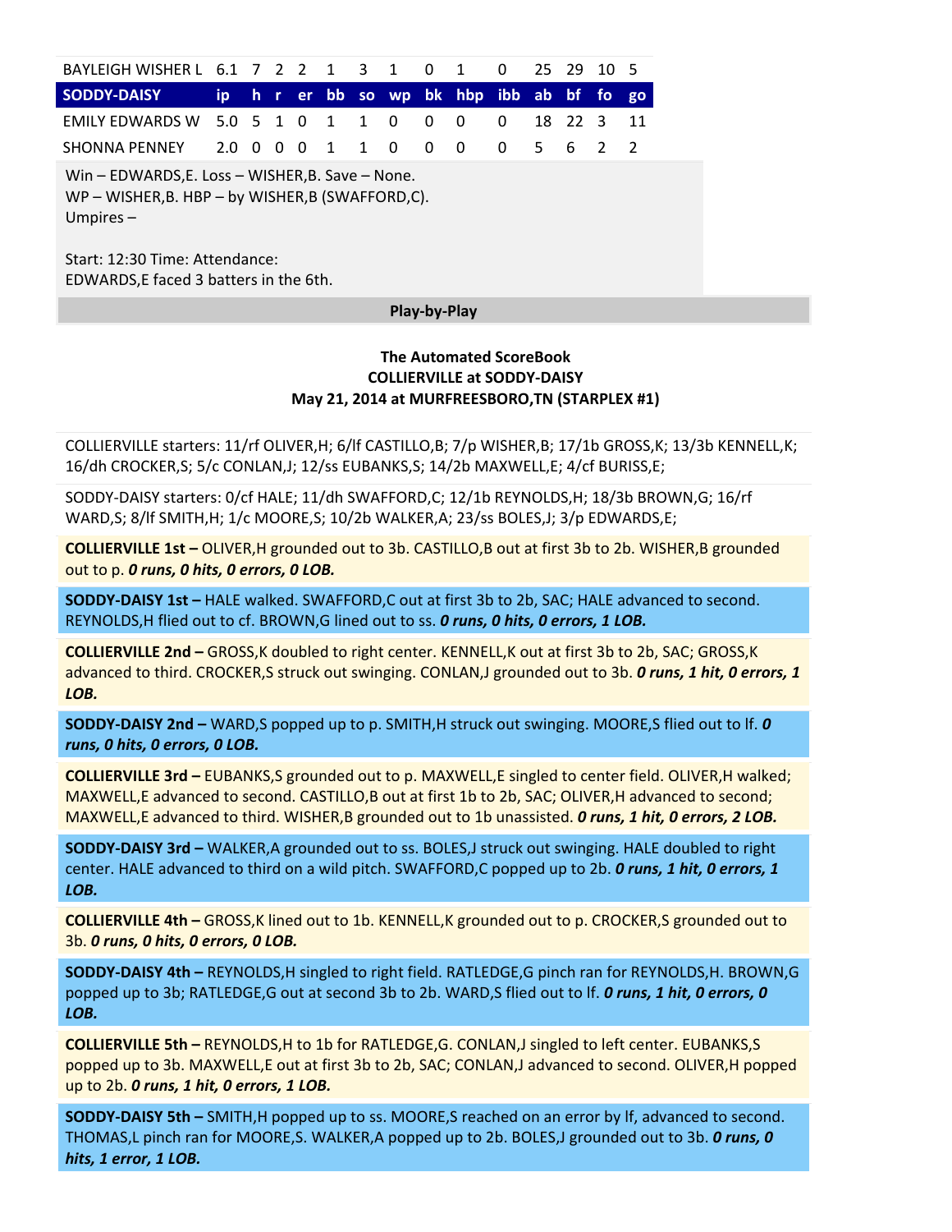| BAYLEIGH WISHER L 6.1 7 2 2 1 3 1 0                                                                                  |             |  |  |  |  |                |     |                | $\mathbf{1}$                        | $\overline{0}$ | 25 29 |         | 10 | - 5            |
|----------------------------------------------------------------------------------------------------------------------|-------------|--|--|--|--|----------------|-----|----------------|-------------------------------------|----------------|-------|---------|----|----------------|
| <b>SODDY-DAISY</b>                                                                                                   | ip.         |  |  |  |  |                |     |                | h r er bb so wp bk hbp ibb ab bf fo |                |       |         |    | go             |
| EMILY EDWARDS W                                                                                                      | 5.0 5 1 0 1 |  |  |  |  | $\overline{1}$ | - 0 | $\overline{0}$ | $\Omega$                            | 0              |       | 18 22 3 |    | -11            |
| <b>SHONNA PENNEY</b>                                                                                                 | 2.0 0 0 0 1 |  |  |  |  | 1 0            |     | $\overline{0}$ | 0                                   | 0              | 5.    | 6       | 2  | $\overline{2}$ |
| Win - EDWARDS, E. Loss - WISHER, B. Save - None.<br>WP - WISHER, B. HBP - by WISHER, B (SWAFFORD, C).<br>Umpires $-$ |             |  |  |  |  |                |     |                |                                     |                |       |         |    |                |
| Start: 12:30 Time: Attendance:<br>EDWARDS, E faced 3 batters in the 6th.                                             |             |  |  |  |  |                |     |                |                                     |                |       |         |    |                |

## **Play‐by‐Play**

## **The Automated ScoreBook COLLIERVILLE at SODDY‐DAISY May 21, 2014 at MURFREESBORO,TN (STARPLEX #1)**

COLLIERVILLE starters: 11/rf OLIVER,H; 6/lf CASTILLO,B; 7/p WISHER,B; 17/1b GROSS,K; 13/3b KENNELL,K; 16/dh CROCKER,S; 5/c CONLAN,J; 12/ss EUBANKS,S; 14/2b MAXWELL,E; 4/cf BURISS,E;

SODDY‐DAISY starters: 0/cf HALE; 11/dh SWAFFORD,C; 12/1b REYNOLDS,H; 18/3b BROWN,G; 16/rf WARD,S; 8/lf SMITH,H; 1/c MOORE,S; 10/2b WALKER,A; 23/ss BOLES,J; 3/p EDWARDS,E;

**COLLIERVILLE 1st –** OLIVER,H grounded out to 3b. CASTILLO,B out at first 3b to 2b. WISHER,B grounded out to p. *0 runs, 0 hits, 0 errors, 0 LOB.*

**SODDY‐DAISY 1st –** HALE walked. SWAFFORD,C out at first 3b to 2b, SAC; HALE advanced to second. REYNOLDS,H flied out to cf. BROWN,G lined out to ss. *0 runs, 0 hits, 0 errors, 1 LOB.*

**COLLIERVILLE 2nd –** GROSS,K doubled to right center. KENNELL,K out at first 3b to 2b, SAC; GROSS,K advanced to third. CROCKER,S struck out swinging. CONLAN,J grounded out to 3b. *0 runs, 1 hit, 0 errors, 1 LOB.*

**SODDY‐DAISY 2nd –** WARD,S popped up to p. SMITH,H struck out swinging. MOORE,S flied out to lf. *0 runs, 0 hits, 0 errors, 0 LOB.*

**COLLIERVILLE 3rd –** EUBANKS,S grounded out to p. MAXWELL,E singled to center field. OLIVER,H walked; MAXWELL, E advanced to second. CASTILLO, B out at first 1b to 2b, SAC; OLIVER, H advanced to second; MAXWELL,E advanced to third. WISHER,B grounded out to 1b unassisted. *0 runs, 1 hit, 0 errors, 2 LOB.*

**SODDY‐DAISY 3rd –** WALKER,A grounded out to ss. BOLES,J struck out swinging. HALE doubled to right center. HALE advanced to third on a wild pitch. SWAFFORD,C popped up to 2b. *0 runs, 1 hit, 0 errors, 1 LOB.*

**COLLIERVILLE 4th –** GROSS,K lined out to 1b. KENNELL,K grounded out to p. CROCKER,S grounded out to 3b. *0 runs, 0 hits, 0 errors, 0 LOB.*

**SODDY‐DAISY 4th –** REYNOLDS,H singled to right field. RATLEDGE,G pinch ran for REYNOLDS,H. BROWN,G popped up to 3b; RATLEDGE,G out at second 3b to 2b. WARD,S flied out to lf. *0 runs, 1 hit, 0 errors, 0 LOB.*

**COLLIERVILLE 5th –** REYNOLDS,H to 1b for RATLEDGE,G. CONLAN,J singled to left center. EUBANKS,S popped up to 3b. MAXWELL,E out at first 3b to 2b, SAC; CONLAN,J advanced to second. OLIVER,H popped up to 2b. *0 runs, 1 hit, 0 errors, 1 LOB.*

**SODDY‐DAISY 5th –** SMITH,H popped up to ss. MOORE,S reached on an error by lf, advanced to second. THOMAS,L pinch ran for MOORE,S. WALKER,A popped up to 2b. BOLES,J grounded out to 3b. *0 runs, 0 hits, 1 error, 1 LOB.*